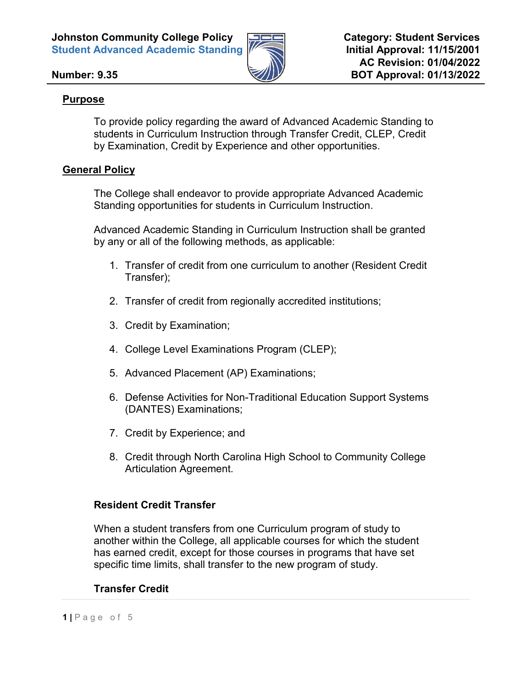

# **Number: 9.35**

# **Purpose**

To provide policy regarding the award of Advanced Academic Standing to students in Curriculum Instruction through Transfer Credit, CLEP, Credit by Examination, Credit by Experience and other opportunities.

# **General Policy**

The College shall endeavor to provide appropriate Advanced Academic Standing opportunities for students in Curriculum Instruction.

Advanced Academic Standing in Curriculum Instruction shall be granted by any or all of the following methods, as applicable:

- 1. Transfer of credit from one curriculum to another (Resident Credit Transfer);
- 2. Transfer of credit from regionally accredited institutions;
- 3. Credit by Examination;
- 4. College Level Examinations Program (CLEP);
- 5. Advanced Placement (AP) Examinations;
- 6. Defense Activities for Non-Traditional Education Support Systems (DANTES) Examinations;
- 7. Credit by Experience; and
- 8. Credit through North Carolina High School to Community College Articulation Agreement.

### **Resident Credit Transfer**

When a student transfers from one Curriculum program of study to another within the College, all applicable courses for which the student has earned credit, except for those courses in programs that have set specific time limits, shall transfer to the new program of study.

### **Transfer Credit**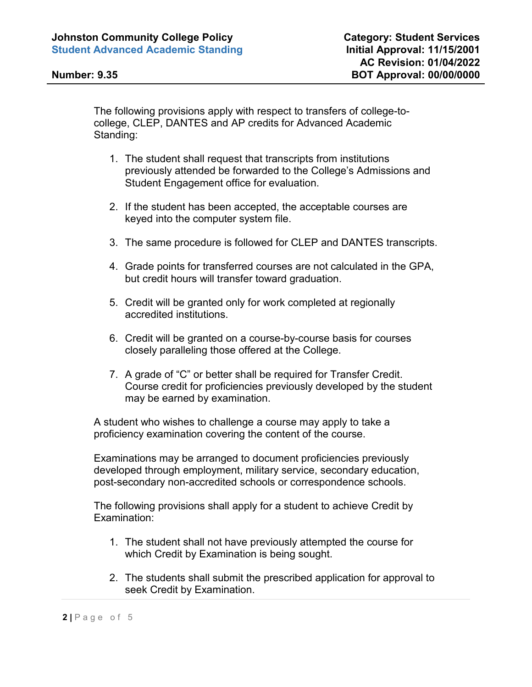The following provisions apply with respect to transfers of college-tocollege, CLEP, DANTES and AP credits for Advanced Academic Standing:

- 1. The student shall request that transcripts from institutions previously attended be forwarded to the College's Admissions and Student Engagement office for evaluation.
- 2. If the student has been accepted, the acceptable courses are keyed into the computer system file.
- 3. The same procedure is followed for CLEP and DANTES transcripts.
- 4. Grade points for transferred courses are not calculated in the GPA, but credit hours will transfer toward graduation.
- 5. Credit will be granted only for work completed at regionally accredited institutions.
- 6. Credit will be granted on a course-by-course basis for courses closely paralleling those offered at the College.
- 7. A grade of "C" or better shall be required for Transfer Credit. Course credit for proficiencies previously developed by the student may be earned by examination.

A student who wishes to challenge a course may apply to take a proficiency examination covering the content of the course.

Examinations may be arranged to document proficiencies previously developed through employment, military service, secondary education, post-secondary non-accredited schools or correspondence schools.

The following provisions shall apply for a student to achieve Credit by Examination:

- 1. The student shall not have previously attempted the course for which Credit by Examination is being sought.
- 2. The students shall submit the prescribed application for approval to seek Credit by Examination.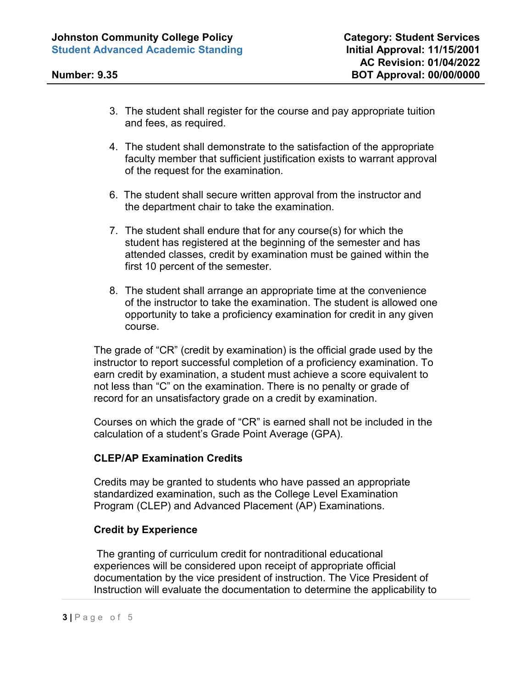- 3. The student shall register for the course and pay appropriate tuition and fees, as required.
- 4. The student shall demonstrate to the satisfaction of the appropriate faculty member that sufficient justification exists to warrant approval of the request for the examination.
- 6. The student shall secure written approval from the instructor and the department chair to take the examination.
- 7. The student shall endure that for any course(s) for which the student has registered at the beginning of the semester and has attended classes, credit by examination must be gained within the first 10 percent of the semester.
- 8. The student shall arrange an appropriate time at the convenience of the instructor to take the examination. The student is allowed one opportunity to take a proficiency examination for credit in any given course.

The grade of "CR" (credit by examination) is the official grade used by the instructor to report successful completion of a proficiency examination. To earn credit by examination, a student must achieve a score equivalent to not less than "C" on the examination. There is no penalty or grade of record for an unsatisfactory grade on a credit by examination.

Courses on which the grade of "CR" is earned shall not be included in the calculation of a student's Grade Point Average (GPA).

### **CLEP/AP Examination Credits**

Credits may be granted to students who have passed an appropriate standardized examination, such as the College Level Examination Program (CLEP) and Advanced Placement (AP) Examinations.

### **Credit by Experience**

The granting of curriculum credit for nontraditional educational experiences will be considered upon receipt of appropriate official documentation by the vice president of instruction. The Vice President of Instruction will evaluate the documentation to determine the applicability to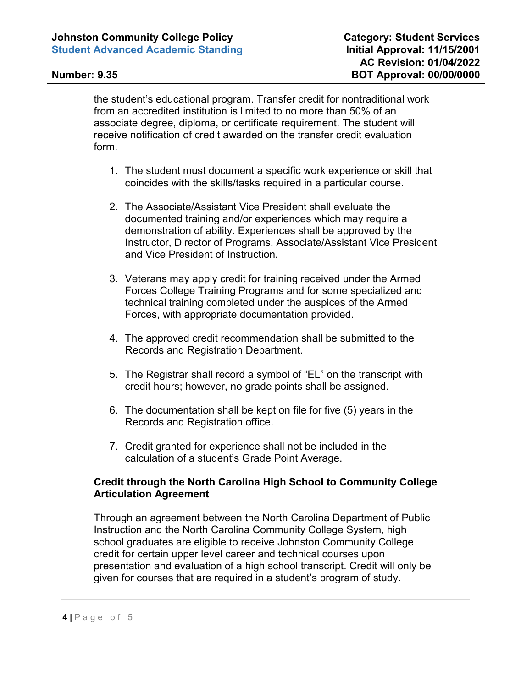the student's educational program. Transfer credit for nontraditional work from an accredited institution is limited to no more than 50% of an associate degree, diploma, or certificate requirement. The student will receive notification of credit awarded on the transfer credit evaluation form.

- 1. The student must document a specific work experience or skill that coincides with the skills/tasks required in a particular course.
- 2. The Associate/Assistant Vice President shall evaluate the documented training and/or experiences which may require a demonstration of ability. Experiences shall be approved by the Instructor, Director of Programs, Associate/Assistant Vice President and Vice President of Instruction.
- 3. Veterans may apply credit for training received under the Armed Forces College Training Programs and for some specialized and technical training completed under the auspices of the Armed Forces, with appropriate documentation provided.
- 4. The approved credit recommendation shall be submitted to the Records and Registration Department.
- 5. The Registrar shall record a symbol of "EL" on the transcript with credit hours; however, no grade points shall be assigned.
- 6. The documentation shall be kept on file for five (5) years in the Records and Registration office.
- 7. Credit granted for experience shall not be included in the calculation of a student's Grade Point Average.

# **Credit through the North Carolina High School to Community College Articulation Agreement**

Through an agreement between the North Carolina Department of Public Instruction and the North Carolina Community College System, high school graduates are eligible to receive Johnston Community College credit for certain upper level career and technical courses upon presentation and evaluation of a high school transcript. Credit will only be given for courses that are required in a student's program of study.